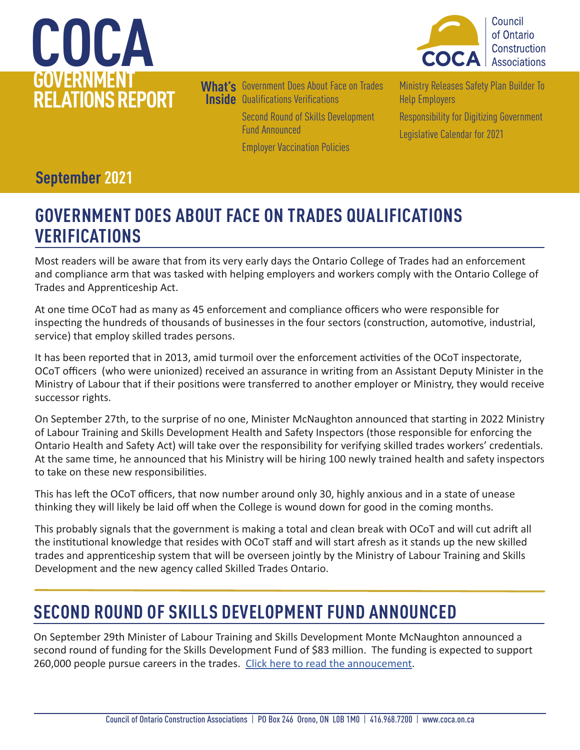



**What's**  Government Does About Face on Trades **Inside** Qualifications Verifications

Second Round of Skills Development Fund Announced

[Employer Vaccination Policies](#page-1-0) 

[Ministry Releases Safety Plan Builder To](#page-2-0)  [Help Employers](#page-2-0)  [Responsibility for Digitizing Government](#page-2-0)  [Legislative Calendar for 2021](#page-2-0) 

#### **September 2021**

#### **GOVERNMENT DOES ABOUT FACE ON TRADES QUALIFICATIONS VERIFICATIONS**

Most readers will be aware that from its very early days the Ontario College of Trades had an enforcement and compliance arm that was tasked with helping employers and workers comply with the Ontario College of Trades and Apprenticeship Act.

At one time OCoT had as many as 45 enforcement and compliance officers who were responsible for inspecting the hundreds of thousands of businesses in the four sectors (construction, automotive, industrial, service) that employ skilled trades persons.

It has been reported that in 2013, amid turmoil over the enforcement activities of the OCoT inspectorate, OCoT officers (who were unionized) received an assurance in writing from an Assistant Deputy Minister in the Ministry of Labour that if their positions were transferred to another employer or Ministry, they would receive successor rights.

On September 27th, to the surprise of no one, Minister McNaughton announced that starting in 2022 Ministry of Labour Training and Skills Development Health and Safety Inspectors (those responsible for enforcing the Ontario Health and Safety Act) will take over the responsibility for verifying skilled trades workers' credentials. At the same time, he announced that his Ministry will be hiring 100 newly trained health and safety inspectors to take on these new responsibilities.

This has left the OCoT officers, that now number around only 30, highly anxious and in a state of unease thinking they will likely be laid off when the College is wound down for good in the coming months.

This probably signals that the government is making a total and clean break with OCoT and will cut adrift all the institutional knowledge that resides with OCoT staff and will start afresh as it stands up the new skilled trades and apprenticeship system that will be overseen jointly by the Ministry of Labour Training and Skills Development and the new agency called Skilled Trades Ontario.

## **SECOND ROUND OF SKILLS DEVELOPMENT FUND ANNOUNCED**

On September 29th Minister of Labour Training and Skills Development Monte McNaughton announced a second round of funding for the Skills Development Fund of \$83 million. The funding is expected to support 260,000 people pursue careers in the trades. [Click here to read the annoucement](https://news.ontario.ca/en/release/1000887/ontario-providing-additional-investment-into-skills-development-fund).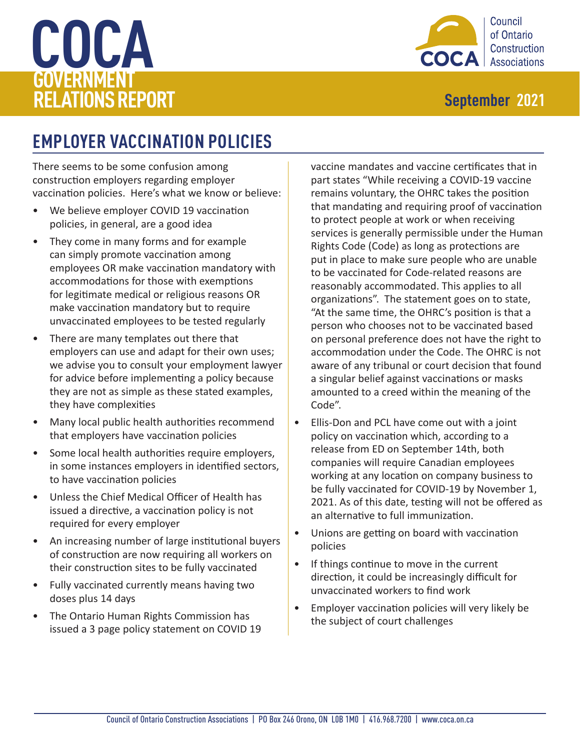# <span id="page-1-0"></span>**COCA GOVERNMENT RELATIONS REPORT September 2021**



# **EMPLOYER VACCINATION POLICIES**

There seems to be some confusion among construction employers regarding employer vaccination policies. Here's what we know or believe:

- We believe employer COVID 19 vaccination policies, in general, are a good idea
- They come in many forms and for example can simply promote vaccination among employees OR make vaccination mandatory with accommodations for those with exemptions for legitimate medical or religious reasons OR make vaccination mandatory but to require unvaccinated employees to be tested regularly
- There are many templates out there that employers can use and adapt for their own uses; we advise you to consult your employment lawyer for advice before implementing a policy because they are not as simple as these stated examples, they have complexities
- Many local public health authorities recommend that employers have vaccination policies
- Some local health authorities require employers, in some instances employers in identified sectors, to have vaccination policies
- Unless the Chief Medical Officer of Health has issued a directive, a vaccination policy is not required for every employer
- An increasing number of large institutional buyers of construction are now requiring all workers on their construction sites to be fully vaccinated
- Fully vaccinated currently means having two doses plus 14 days
- The Ontario Human Rights Commission has issued a 3 page policy statement on COVID 19

vaccine mandates and vaccine certificates that in part states "While receiving a COVID-19 vaccine remains voluntary, the OHRC takes the position that mandating and requiring proof of vaccination to protect people at work or when receiving services is generally permissible under the Human Rights Code (Code) as long as protections are put in place to make sure people who are unable to be vaccinated for Code-related reasons are reasonably accommodated. This applies to all organizations". The statement goes on to state, "At the same time, the OHRC's position is that a person who chooses not to be vaccinated based on personal preference does not have the right to accommodation under the Code. The OHRC is not aware of any tribunal or court decision that found a singular belief against vaccinations or masks amounted to a creed within the meaning of the Code".

- Ellis-Don and PCL have come out with a joint policy on vaccination which, according to a release from ED on September 14th, both companies will require Canadian employees working at any location on company business to be fully vaccinated for COVID-19 by November 1, 2021. As of this date, testing will not be offered as an alternative to full immunization.
- Unions are getting on board with vaccination policies
- If things continue to move in the current direction, it could be increasingly difficult for unvaccinated workers to find work
- Employer vaccination policies will very likely be the subject of court challenges